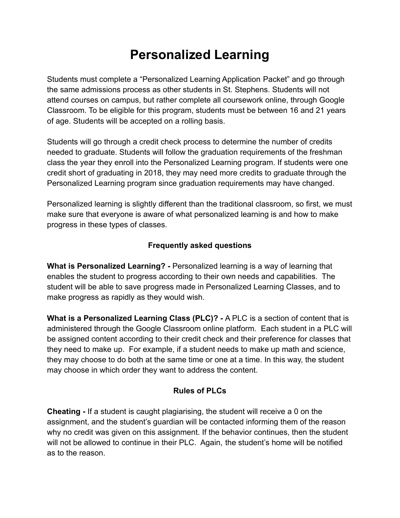## **Personalized Learning**

Students must complete a "Personalized Learning Application Packet" and go through the same admissions process as other students in St. Stephens. Students will not attend courses on campus, but rather complete all coursework online, through Google Classroom. To be eligible for this program, students must be between 16 and 21 years of age. Students will be accepted on a rolling basis.

Students will go through a credit check process to determine the number of credits needed to graduate. Students will follow the graduation requirements of the freshman class the year they enroll into the Personalized Learning program. If students were one credit short of graduating in 2018, they may need more credits to graduate through the Personalized Learning program since graduation requirements may have changed.

Personalized learning is slightly different than the traditional classroom, so first, we must make sure that everyone is aware of what personalized learning is and how to make progress in these types of classes.

## **Frequently asked questions**

**What is Personalized Learning? -** Personalized learning is a way of learning that enables the student to progress according to their own needs and capabilities. The student will be able to save progress made in Personalized Learning Classes, and to make progress as rapidly as they would wish.

**What is a Personalized Learning Class (PLC)? -** A PLC is a section of content that is administered through the Google Classroom online platform. Each student in a PLC will be assigned content according to their credit check and their preference for classes that they need to make up. For example, if a student needs to make up math and science, they may choose to do both at the same time or one at a time. In this way, the student may choose in which order they want to address the content.

## **Rules of PLCs**

**Cheating -** If a student is caught plagiarising, the student will receive a 0 on the assignment, and the student's guardian will be contacted informing them of the reason why no credit was given on this assignment. If the behavior continues, then the student will not be allowed to continue in their PLC. Again, the student's home will be notified as to the reason.